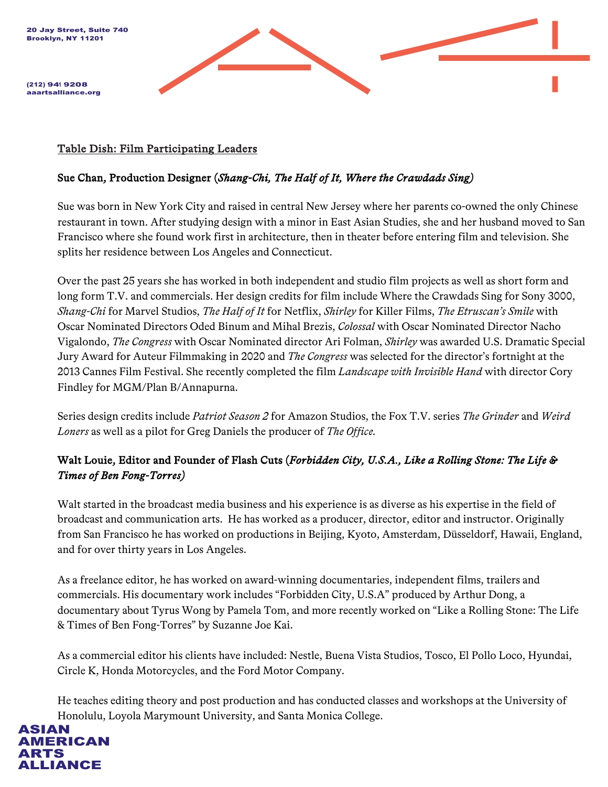



(212) 941 9208 aaartsalliance.org

#### Table Dish: Film Participating Leaders

### Sue Chan, Production Designer (*Shang-Chi, The Half of It, Where the Crawdads Sing)*

Sue was born in New York City and raised in central New Jersey where her parents co-owned the only Chinese restaurant in town. After studying design with a minor in East Asian Studies, she and her husband moved to San Francisco where she found work first in architecture, then in theater before entering film and television. She splits her residence between Los Angeles and Connecticut.

Over the past 25 years she has worked in both independent and studio film projects as well as short form and long form T.V. and commercials. Her design credits for film include Where the Crawdads Sing for Sony 3000, *Shang-Chi* for Marvel Studios, *The Half of It* for Netflix, *Shirley* for Killer Films, *The Etruscan's Smile* with Oscar Nominated Directors Oded Binum and Mihal Brezis, *Colossal* with Oscar Nominated Director Nacho Vigalondo, *The Congress* with Oscar Nominated director Ari Folman, *Shirley* was awarded U.S. Dramatic Special Jury Award for Auteur Filmmaking in 2020 and *The Congress* was selected for the director's fortnight at the 2013 Cannes Film Festival. She recently completed the film *Landscape with Invisible Hand* with director Cory Findley for MGM/Plan B/Annapurna.

Series design credits include *Patriot Season 2* for Amazon Studios, the Fox T.V. series *The Grinder* and *Weird Loners* as well as a pilot for Greg Daniels the producer of *The Office.*

## Walt Louie, Editor and Founder of Flash Cuts (*Forbidden City, U.S.A., Like a Rolling Stone: The Life & Times of Ben Fong-Torres)*

Walt started in the broadcast media business and his experience is as diverse as his expertise in the field of broadcast and communication arts. He has worked as a producer, director, editor and instructor. Originally from San Francisco he has worked on productions in Beijing, Kyoto, Amsterdam, Düsseldorf, Hawaii, England, and for over thirty years in Los Angeles.

As a freelance editor, he has worked on award-winning documentaries, independent films, trailers and commercials. His documentary work includes "Forbidden City, U.S.A" produced by Arthur Dong, a documentary about Tyrus Wong by Pamela Tom, and more recently worked on "Like a Rolling Stone: The Life & Times of Ben Fong-Torres" by Suzanne Joe Kai.

As a commercial editor his clients have included: Nestle, Buena Vista Studios, Tosco, El Pollo Loco, Hyundai, Circle K, Honda Motorcycles, and the Ford Motor Company.

He teaches editing theory and post production and has conducted classes and workshops at the University of Honolulu, Loyola Marymount University, and Santa Monica College.

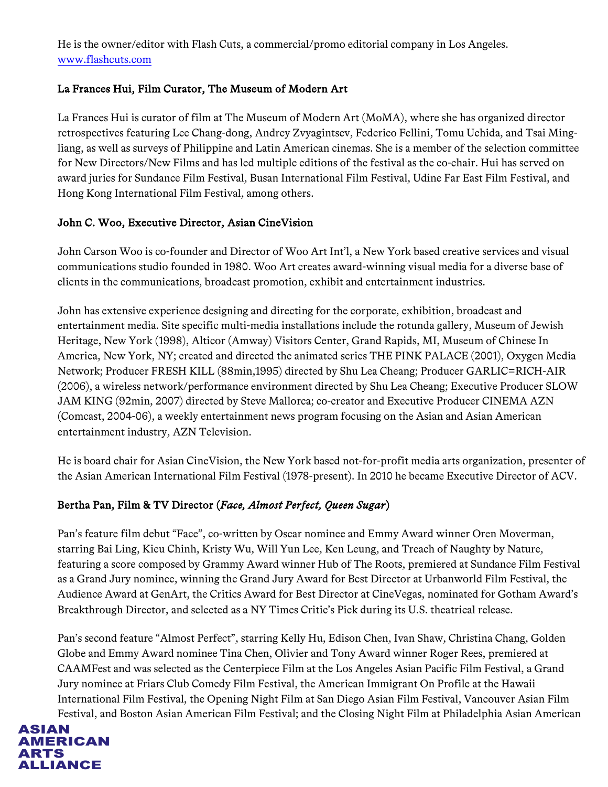He is the owner/editor with Flash Cuts, a commercial/promo editorial company in Los Angeles. www.flashcuts.com

## La Frances Hui, Film Curator, The Museum of Modern Art

La Frances Hui is curator of film at The Museum of Modern Art (MoMA), where she has organized director retrospectives featuring Lee Chang-dong, Andrey Zvyagintsev, Federico Fellini, Tomu Uchida, and Tsai Mingliang, as well as surveys of Philippine and Latin American cinemas. She is a member of the selection committee for New Directors/New Films and has led multiple editions of the festival as the co-chair. Hui has served on award juries for Sundance Film Festival, Busan International Film Festival, Udine Far East Film Festival, and Hong Kong International Film Festival, among others.

### John C. Woo, Executive Director, Asian CineVision

John Carson Woo is co-founder and Director of Woo Art Int'l, a New York based creative services and visual communications studio founded in 1980. Woo Art creates award-winning visual media for a diverse base of clients in the communications, broadcast promotion, exhibit and entertainment industries.

John has extensive experience designing and directing for the corporate, exhibition, broadcast and entertainment media. Site specific multi-media installations include the rotunda gallery, Museum of Jewish Heritage, New York (1998), Alticor (Amway) Visitors Center, Grand Rapids, MI, Museum of Chinese In America, New York, NY; created and directed the animated series THE PINK PALACE (2001), Oxygen Media Network; Producer FRESH KILL (88min,1995) directed by Shu Lea Cheang; Producer GARLIC=RICH-AIR (2006), a wireless network/performance environment directed by Shu Lea Cheang; Executive Producer SLOW JAM KING (92min, 2007) directed by Steve Mallorca; co-creator and Executive Producer CINEMA AZN (Comcast, 2004-06), a weekly entertainment news program focusing on the Asian and Asian American entertainment industry, AZN Television.

He is board chair for Asian CineVision, the New York based not-for-profit media arts organization, presenter of the Asian American International Film Festival (1978-present). In 2010 he became Executive Director of ACV.

## Bertha Pan, Film & TV Director (*Face, Almost Perfect, Queen Sugar*)

Pan's feature film debut "Face", co-written by Oscar nominee and Emmy Award winner Oren Moverman, starring Bai Ling, Kieu Chinh, Kristy Wu, Will Yun Lee, Ken Leung, and Treach of Naughty by Nature, featuring a score composed by Grammy Award winner Hub of The Roots, premiered at Sundance Film Festival as a Grand Jury nominee, winning the Grand Jury Award for Best Director at Urbanworld Film Festival, the Audience Award at GenArt, the Critics Award for Best Director at CineVegas, nominated for Gotham Award's Breakthrough Director, and selected as a NY Times Critic's Pick during its U.S. theatrical release.

Pan's second feature "Almost Perfect", starring Kelly Hu, Edison Chen, Ivan Shaw, Christina Chang, Golden Globe and Emmy Award nominee Tina Chen, Olivier and Tony Award winner Roger Rees, premiered at CAAMFest and was selected as the Centerpiece Film at the Los Angeles Asian Pacific Film Festival, a Grand Jury nominee at Friars Club Comedy Film Festival, the American Immigrant On Profile at the Hawaii International Film Festival, the Opening Night Film at San Diego Asian Film Festival, Vancouver Asian Film Festival, and Boston Asian American Film Festival; and the Closing Night Film at Philadelphia Asian American